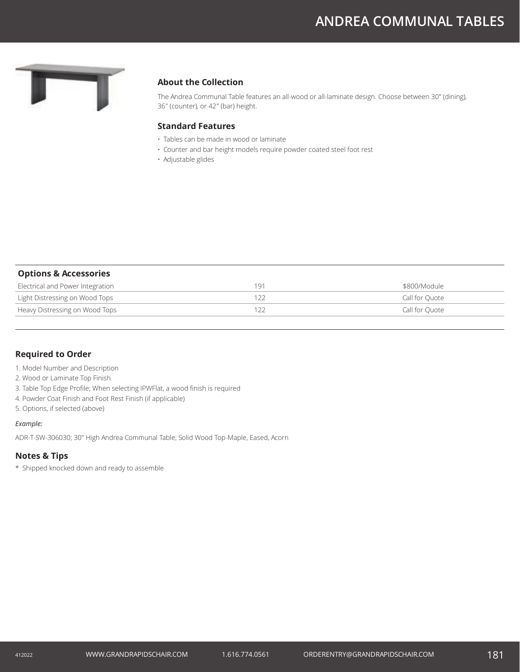# **ANDREA COMMUNAL TABLES**



## **About the Collection**

The Andrea Communal Table features an all-wood or all-laminate design. Choose between 30" (dining), 36" (counter), or 42" (bar) height.

### **Standard Features**

- Tables can be made in wood or laminate
- Counter and bar height models require powder coated steel foot rest
- Adjustable glides

| <b>Options &amp; Accessories</b> |     |                |
|----------------------------------|-----|----------------|
| Electrical and Power Integration | 191 | \$800/Module   |
| Light Distressing on Wood Tops   |     | Call for Ouote |
| Heavy Distressing on Wood Tops   |     | Call for Ouote |

#### **Required to Order**

- 1. Model Number and Description
- 2. Wood or Laminate Top Finish
- 3. Table Top Edge Profile; When selecting IPWFlat, a wood finish is required
- 4. Powder Coat Finish and Foot Rest Finish (if applicable)
- 5. Options, if selected (above)

#### *Example:*

ADR-T-SW-306030; 30" High Andrea Communal Table; Solid Wood Top-Maple, Eased, Acorn

#### **Notes & Tips**

\* Shipped knocked down and ready to assemble